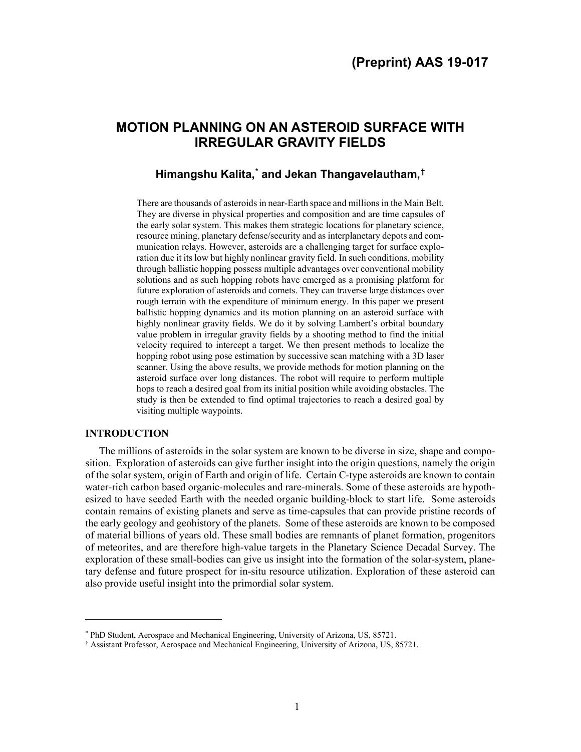# **MOTION PLANNING ON AN ASTEROID SURFACE WITH IRREGULAR GRAVITY FIELDS**

# **Himangshu Kalita, [\\*](#page-0-0) and Jekan Thangavelautham, [†](#page-0-1)**

There are thousands of asteroids in near-Earth space and millions in the Main Belt. They are diverse in physical properties and composition and are time capsules of the early solar system. This makes them strategic locations for planetary science, resource mining, planetary defense/security and as interplanetary depots and communication relays. However, asteroids are a challenging target for surface exploration due it its low but highly nonlinear gravity field. In such conditions, mobility through ballistic hopping possess multiple advantages over conventional mobility solutions and as such hopping robots have emerged as a promising platform for future exploration of asteroids and comets. They can traverse large distances over rough terrain with the expenditure of minimum energy. In this paper we present ballistic hopping dynamics and its motion planning on an asteroid surface with highly nonlinear gravity fields. We do it by solving Lambert's orbital boundary value problem in irregular gravity fields by a shooting method to find the initial velocity required to intercept a target. We then present methods to localize the hopping robot using pose estimation by successive scan matching with a 3D laser scanner. Using the above results, we provide methods for motion planning on the asteroid surface over long distances. The robot will require to perform multiple hops to reach a desired goal from its initial position while avoiding obstacles. The study is then be extended to find optimal trajectories to reach a desired goal by visiting multiple waypoints.

# **INTRODUCTION**

 $\overline{a}$ 

The millions of asteroids in the solar system are known to be diverse in size, shape and composition. Exploration of asteroids can give further insight into the origin questions, namely the origin of the solar system, origin of Earth and origin of life. Certain C-type asteroids are known to contain water-rich carbon based organic-molecules and rare-minerals. Some of these asteroids are hypothesized to have seeded Earth with the needed organic building-block to start life. Some asteroids contain remains of existing planets and serve as time-capsules that can provide pristine records of the early geology and geohistory of the planets. Some of these asteroids are known to be composed of material billions of years old. These small bodies are remnants of planet formation, progenitors of meteorites, and are therefore high-value targets in the Planetary Science Decadal Survey. The exploration of these small-bodies can give us insight into the formation of the solar-system, planetary defense and future prospect for in-situ resource utilization. Exploration of these asteroid can also provide useful insight into the primordial solar system.

<sup>\*</sup> PhD Student, Aerospace and Mechanical Engineering, University of Arizona, US, 85721.

<span id="page-0-1"></span><span id="page-0-0"></span><sup>†</sup> Assistant Professor, Aerospace and Mechanical Engineering, University of Arizona, US, 85721.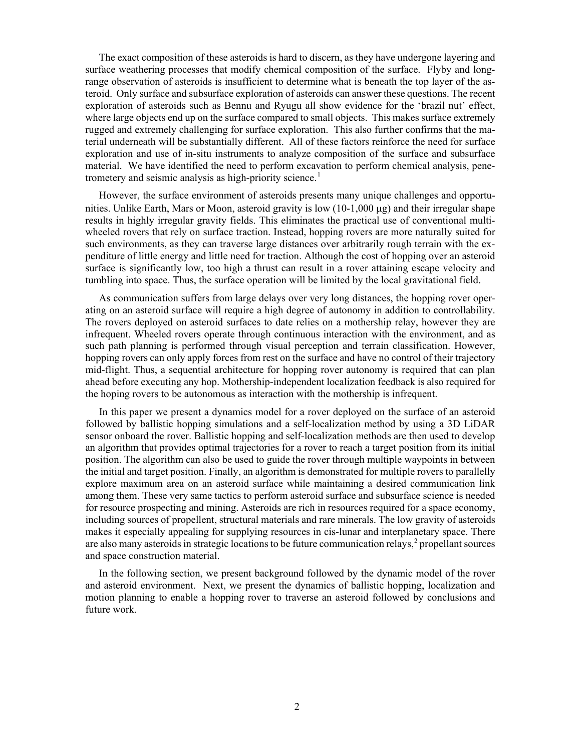The exact composition of these asteroids is hard to discern, as they have undergone layering and surface weathering processes that modify chemical composition of the surface. Flyby and longrange observation of asteroids is insufficient to determine what is beneath the top layer of the asteroid. Only surface and subsurface exploration of asteroids can answer these questions. The recent exploration of asteroids such as Bennu and Ryugu all show evidence for the 'brazil nut' effect, where large objects end up on the surface compared to small objects. This makes surface extremely rugged and extremely challenging for surface exploration. This also further confirms that the material underneath will be substantially different. All of these factors reinforce the need for surface exploration and use of in-situ instruments to analyze composition of the surface and subsurface material. We have identified the need to perform excavation to perform chemical analysis, pene-trometery and seismic analysis as high-priority science.<sup>[1](#page-2-0)</sup>

However, the surface environment of asteroids presents many unique challenges and opportunities. Unlike Earth, Mars or Moon, asteroid gravity is low (10-1,000 µg) and their irregular shape results in highly irregular gravity fields. This eliminates the practical use of conventional multiwheeled rovers that rely on surface traction. Instead, hopping rovers are more naturally suited for such environments, as they can traverse large distances over arbitrarily rough terrain with the expenditure of little energy and little need for traction. Although the cost of hopping over an asteroid surface is significantly low, too high a thrust can result in a rover attaining escape velocity and tumbling into space. Thus, the surface operation will be limited by the local gravitational field.

As communication suffers from large delays over very long distances, the hopping rover operating on an asteroid surface will require a high degree of autonomy in addition to controllability. The rovers deployed on asteroid surfaces to date relies on a mothership relay, however they are infrequent. Wheeled rovers operate through continuous interaction with the environment, and as such path planning is performed through visual perception and terrain classification. However, hopping rovers can only apply forces from rest on the surface and have no control of their trajectory mid-flight. Thus, a sequential architecture for hopping rover autonomy is required that can plan ahead before executing any hop. Mothership-independent localization feedback is also required for the hoping rovers to be autonomous as interaction with the mothership is infrequent.

In this paper we present a dynamics model for a rover deployed on the surface of an asteroid followed by ballistic hopping simulations and a self-localization method by using a 3D LiDAR sensor onboard the rover. Ballistic hopping and self-localization methods are then used to develop an algorithm that provides optimal trajectories for a rover to reach a target position from its initial position. The algorithm can also be used to guide the rover through multiple waypoints in between the initial and target position. Finally, an algorithm is demonstrated for multiple rovers to parallelly explore maximum area on an asteroid surface while maintaining a desired communication link among them. These very same tactics to perform asteroid surface and subsurface science is needed for resource prospecting and mining. Asteroids are rich in resources required for a space economy, including sources of propellent, structural materials and rare minerals. The low gravity of asteroids makes it especially appealing for supplying resources in cis-lunar and interplanetary space. There are also many asteroids in strategic locations to be future communication relays, $\frac{2}{3}$  $\frac{2}{3}$  $\frac{2}{3}$  propellant sources and space construction material.

In the following section, we present background followed by the dynamic model of the rover and asteroid environment. Next, we present the dynamics of ballistic hopping, localization and motion planning to enable a hopping rover to traverse an asteroid followed by conclusions and future work.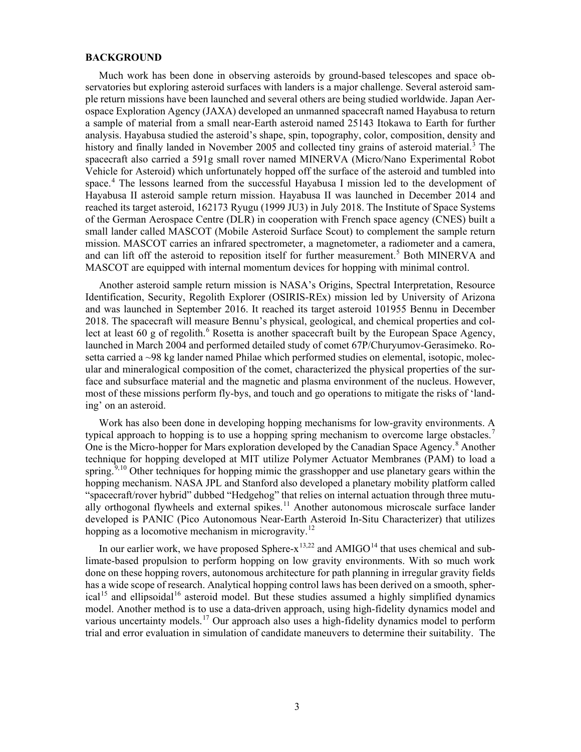# **BACKGROUND**

Much work has been done in observing asteroids by ground-based telescopes and space observatories but exploring asteroid surfaces with landers is a major challenge. Several asteroid sample return missions have been launched and several others are being studied worldwide. Japan Aerospace Exploration Agency (JAXA) developed an unmanned spacecraft named Hayabusa to return a sample of material from a small near-Earth asteroid named 25143 Itokawa to Earth for further analysis. Hayabusa studied the asteroid's shape, spin, topography, color, composition, density and history and finally landed in November 2005 and collected tiny grains of asteroid material.<sup>[3](#page-3-0)</sup> The spacecraft also carried a 591g small rover named MINERVA (Micro/Nano Experimental Robot Vehicle for Asteroid) which unfortunately hopped off the surface of the asteroid and tumbled into space.[4](#page-3-1) The lessons learned from the successful Hayabusa I mission led to the development of Hayabusa II asteroid sample return mission. Hayabusa II was launched in December 2014 and reached its target asteroid, 162173 Ryugu (1999 JU3) in July 2018. The Institute of Space Systems of the German Aerospace Centre (DLR) in cooperation with French space agency (CNES) built a small lander called MASCOT (Mobile Asteroid Surface Scout) to complement the sample return mission. MASCOT carries an infrared spectrometer, a magnetometer, a radiometer and a camera, and can lift off the asteroid to reposition itself for further measurement.<sup>[5](#page-3-2)</sup> Both MINERVA and MASCOT are equipped with internal momentum devices for hopping with minimal control.

Another asteroid sample return mission is NASA's Origins, Spectral Interpretation, Resource Identification, Security, Regolith Explorer (OSIRIS-REx) mission led by University of Arizona and was launched in September 2016. It reached its target asteroid 101955 Bennu in December 2018. The spacecraft will measure Bennu's physical, geological, and chemical properties and col-lect at least [6](#page-3-3)0 g of regolith.<sup>6</sup> Rosetta is another spacecraft built by the European Space Agency, launched in March 2004 and performed detailed study of comet 67P/Churyumov-Gerasimeko. Rosetta carried a  $\sim$ 98 kg lander named Philae which performed studies on elemental, isotopic, molecular and mineralogical composition of the comet, characterized the physical properties of the surface and subsurface material and the magnetic and plasma environment of the nucleus. However, most of these missions perform fly-bys, and touch and go operations to mitigate the risks of 'landing' on an asteroid.

Work has also been done in developing hopping mechanisms for low-gravity environments. A typical approach to hopping is to use a hopping spring mechanism to overcome large obstacles.<sup>[7](#page-3-4)</sup> One is the Micro-hopper for Mars exploration developed by the Canadian Space Agency.<sup>[8](#page-3-5)</sup> Another technique for hopping developed at MIT utilize Polymer Actuator Membranes (PAM) to load a spring.<sup>[9](#page-3-6),[10](#page-3-7)</sup> Other techniques for hopping mimic the grasshopper and use planetary gears within the hopping mechanism. NASA JPL and Stanford also developed a planetary mobility platform called "spacecraft/rover hybrid" dubbed "Hedgehog" that relies on internal actuation through three mutu-ally orthogonal flywheels and external spikes.<sup>[11](#page-3-8)</sup> Another autonomous microscale surface lander developed is PANIC (Pico Autonomous Near-Earth Asteroid In-Situ Characterizer) that utilizes hopping as a locomotive mechanism in microgravity.<sup>[12](#page-3-9)</sup>

<span id="page-2-1"></span><span id="page-2-0"></span>In our earlier work, we have proposed Sphere- $x^{13,22}$  $x^{13,22}$  $x^{13,22}$  and AMIGO<sup>[14](#page-3-11)</sup> that uses chemical and sublimate-based propulsion to perform hopping on low gravity environments. With so much work done on these hopping rovers, autonomous architecture for path planning in irregular gravity fields has a wide scope of research. Analytical hopping control laws has been derived on a smooth, spher- $ical<sup>15</sup>$  $ical<sup>15</sup>$  $ical<sup>15</sup>$  and ellipsoidal<sup>[16](#page-3-13)</sup> asteroid model. But these studies assumed a highly simplified dynamics model. Another method is to use a data-driven approach, using high-fidelity dynamics model and various uncertainty models.<sup>[17](#page-3-14)</sup> Our approach also uses a high-fidelity dynamics model to perform trial and error evaluation in simulation of candidate maneuvers to determine their suitability. The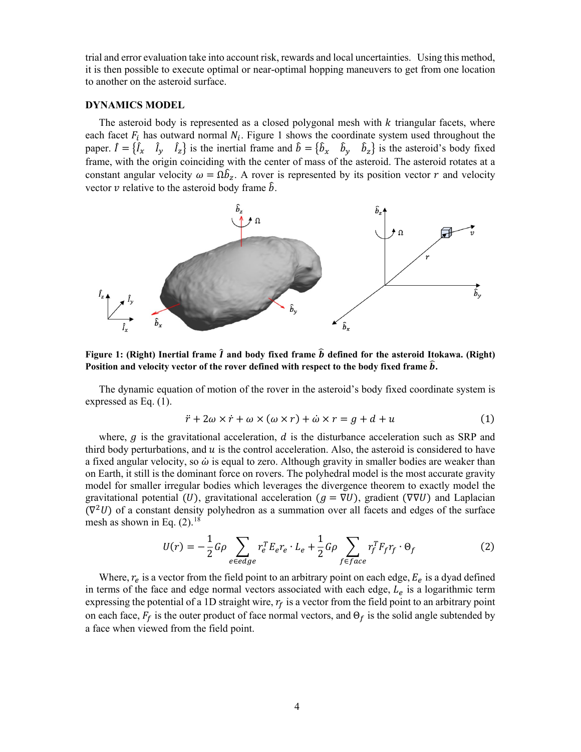<span id="page-3-0"></span>trial and error evaluation take into account risk, rewards and local uncertainties. Using this method, it is then possible to execute optimal or near-optimal hopping maneuvers to get from one location to another on the asteroid surface.

# <span id="page-3-1"></span>**DYNAMICS MODEL**

<span id="page-3-4"></span><span id="page-3-3"></span><span id="page-3-2"></span>The asteroid body is represented as a closed polygonal mesh with  $k$  triangular facets, where each facet  $F_i$  has outward normal  $N_i$ . Figure 1 shows the coordinate system used throughout the paper.  $\hat{I} = \{\hat{I}_x \mid I_y \mid I_z\}$  is the inertial frame and  $\hat{b} = \{\hat{b}_x \mid \hat{b}_y \mid \hat{b}_z\}$  is the asteroid's body fixed frame, with the origin coinciding with the center of mass of the asteroid. The asteroid rotates at a constant angular velocity  $\omega = \Omega \hat{b}_z$ . A rover is represented by its position vector r and velocity vector  $\nu$  relative to the asteroid body frame  $\hat{b}$ .

<span id="page-3-8"></span><span id="page-3-7"></span><span id="page-3-6"></span><span id="page-3-5"></span>

<span id="page-3-12"></span><span id="page-3-11"></span><span id="page-3-10"></span><span id="page-3-9"></span>**Figure 1:** (Right) Inertial frame  $\hat{\imath}$  and body fixed frame  $\hat{b}$  defined for the asteroid Itokawa. (Right) Position and velocity vector of the rover defined with respect to the body fixed frame  $\hat{b}$ .

<span id="page-3-13"></span>The dynamic equation of motion of the rover in the asteroid's body fixed coordinate system is expressed as Eq. (1).

$$
\ddot{r} + 2\omega \times \dot{r} + \omega \times (\omega \times r) + \dot{\omega} \times r = g + d + u \tag{1}
$$

<span id="page-3-17"></span><span id="page-3-16"></span><span id="page-3-15"></span><span id="page-3-14"></span>where,  $g$  is the gravitational acceleration,  $d$  is the disturbance acceleration such as SRP and third body perturbations, and  $u$  is the control acceleration. Also, the asteroid is considered to have a fixed angular velocity, so  $\dot{\omega}$  is equal to zero. Although gravity in smaller bodies are weaker than on Earth, it still is the dominant force on rovers. The polyhedral model is the most accurate gravity model for smaller irregular bodies which leverages the divergence theorem to exactly model the gravitational potential (U), gravitational acceleration ( $g = \nabla U$ ), gradient ( $\nabla \nabla U$ ) and Laplacian  $(\nabla^2 U)$  of a constant density polyhedron as a summation over all facets and edges of the surface mesh as shown in Eq.  $(2)$ .<sup>[18](#page-3-15)</sup>

$$
U(r) = -\frac{1}{2}G\rho \sum_{e \in edge} r_e^T E_e r_e \cdot L_e + \frac{1}{2}G\rho \sum_{f \in face} r_f^T F_f r_f \cdot \Theta_f
$$
 (2)

<span id="page-3-18"></span>Where,  $r_e$  is a vector from the field point to an arbitrary point on each edge,  $E_e$  is a dyad defined in terms of the face and edge normal vectors associated with each edge,  $L_e$  is a logarithmic term expressing the potential of a 1D straight wire,  $r_f$  is a vector from the field point to an arbitrary point on each face,  $F_f$  is the outer product of face normal vectors, and  $\Theta_f$  is the solid angle subtended by a face when viewed from the field point.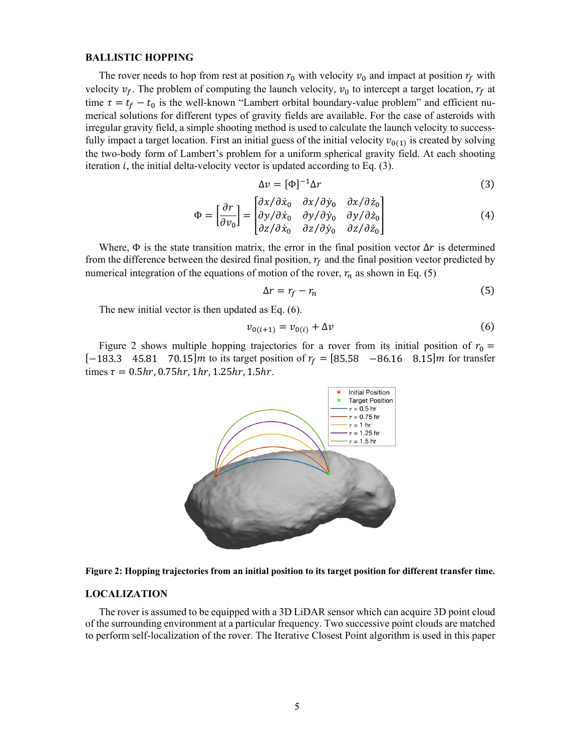#### **BALLISTIC HOPPING**

The rover needs to hop from rest at position  $r_0$  with velocity  $v_0$  and impact at position  $r_f$  with velocity  $v_f$ . The problem of computing the launch velocity,  $v_0$  to intercept a target location,  $r_f$  at time  $\tau = t_f - t_0$  is the well-known "Lambert orbital boundary-value problem" and efficient numerical solutions for different types of gravity fields are available. For the case of asteroids with irregular gravity field, a simple shooting method is used to calculate the launch velocity to successfully impact a target location. First an initial guess of the initial velocity  $v_{0(1)}$  is created by solving the two-body form of Lambert's problem for a uniform spherical gravity field. At each shooting iteration  $i$ , the initial delta-velocity vector is updated according to Eq. (3).

$$
\Delta v = [\Phi]^{-1} \Delta r \tag{3}
$$

$$
\Phi = \begin{bmatrix} \frac{\partial r}{\partial v_0} \end{bmatrix} = \begin{bmatrix} \frac{\partial x}{\partial \dot{x}_0} & \frac{\partial x}{\partial \dot{y}_0} & \frac{\partial x}{\partial \dot{z}_0} \\ \frac{\partial y}{\partial \dot{x}_0} & \frac{\partial y}{\partial \dot{y}_0} & \frac{\partial y}{\partial \dot{z}_0} \\ \frac{\partial z}{\partial \dot{x}_0} & \frac{\partial z}{\partial \dot{y}_0} & \frac{\partial z}{\partial \dot{z}_0} \end{bmatrix}
$$
(4)

Where,  $\Phi$  is the state transition matrix, the error in the final position vector  $\Delta r$  is determined from the difference between the desired final position,  $r_f$  and the final position vector predicted by numerical integration of the equations of motion of the rover,  $r_n$  as shown in Eq. (5)

$$
\Delta r = r_f - r_n \tag{5}
$$

The new initial vector is then updated as Eq. (6).

$$
v_{0(i+1)} = v_{0(i)} + \Delta v \tag{6}
$$

Figure 2 shows multiple hopping trajectories for a rover from its initial position of  $r_0 =$ [-183.3 45.81 70.15] *m* to its target position of  $r_f = [85.58 \text{ -}86.16 \text{ 8.15}]$  *m* for transfer times  $\tau = 0.5 hr$ , 0.75 $hr$ , 1 $hr$ , 1.25 $hr$ , 1.5 $hr$ .





#### **LOCALIZATION**

The rover is assumed to be equipped with a 3D LiDAR sensor which can acquire 3D point cloud of the surrounding environment at a particular frequency. Two successive point clouds are matched to perform self-localization of the rover. The Iterative Closest Point algorithm is used in this paper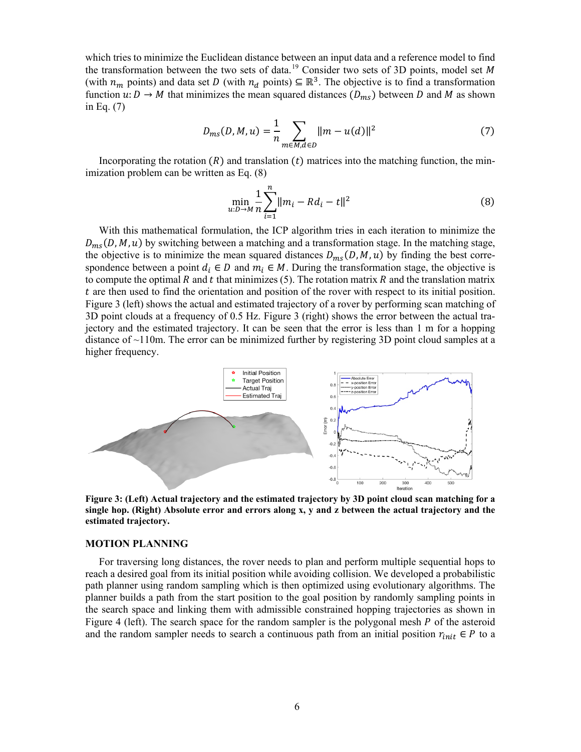which tries to minimize the Euclidean distance between an input data and a reference model to find the transformation between the two sets of data.<sup>[19](#page-3-16)</sup> Consider two sets of 3D points, model set M (with  $n_m$  points) and data set D (with  $n_d$  points)  $\subseteq \mathbb{R}^3$ . The objective is to find a transformation function  $u: D \to M$  that minimizes the mean squared distances  $(D_{ms})$  between D and M as shown in Eq. (7)

$$
D_{ms}(D, M, u) = \frac{1}{n} \sum_{m \in M, d \in D} ||m - u(d)||^2
$$
 (7)

Incorporating the rotation  $(R)$  and translation  $(t)$  matrices into the matching function, the minimization problem can be written as Eq. (8)

$$
\min_{u:D \to M} \frac{1}{n} \sum_{i=1}^{n} ||m_i - Rd_i - t||^2
$$
 (8)

With this mathematical formulation, the ICP algorithm tries in each iteration to minimize the  $D_{ms}(D, M, u)$  by switching between a matching and a transformation stage. In the matching stage, the objective is to minimize the mean squared distances  $D_{ms}(D, M, u)$  by finding the best correspondence between a point  $d_i \in D$  and  $m_i \in M$ . During the transformation stage, the objective is to compute the optimal  $R$  and  $t$  that minimizes (5). The rotation matrix  $R$  and the translation matrix are then used to find the orientation and position of the rover with respect to its initial position. Figure 3 (left) shows the actual and estimated trajectory of a rover by performing scan matching of 3D point clouds at a frequency of 0.5 Hz. Figure 3 (right) shows the error between the actual trajectory and the estimated trajectory. It can be seen that the error is less than 1 m for a hopping distance of  $\sim$ 110m. The error can be minimized further by registering 3D point cloud samples at a higher frequency.



**Figure 3: (Left) Actual trajectory and the estimated trajectory by 3D point cloud scan matching for a single hop. (Right) Absolute error and errors along x, y and z between the actual trajectory and the estimated trajectory.**

# **MOTION PLANNING**

For traversing long distances, the rover needs to plan and perform multiple sequential hops to reach a desired goal from its initial position while avoiding collision. We developed a probabilistic path planner using random sampling which is then optimized using evolutionary algorithms. The planner builds a path from the start position to the goal position by randomly sampling points in the search space and linking them with admissible constrained hopping trajectories as shown in Figure 4 (left). The search space for the random sampler is the polygonal mesh  $P$  of the asteroid and the random sampler needs to search a continuous path from an initial position  $r_{init} \in P$  to a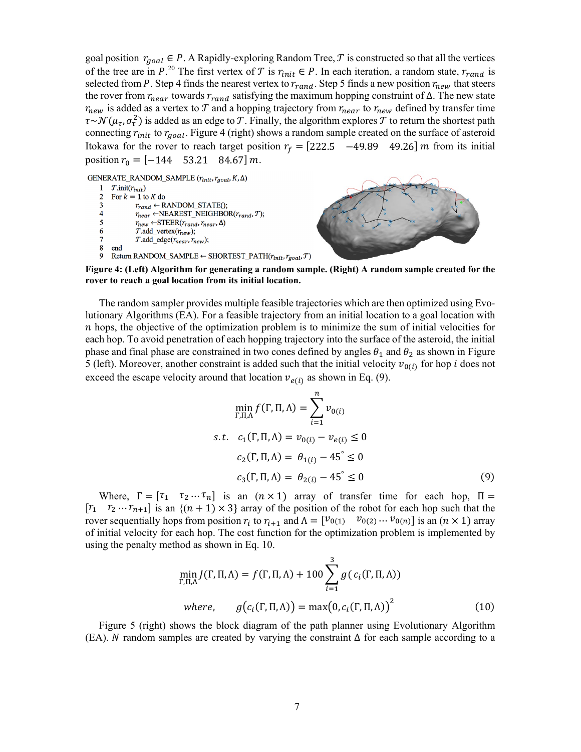goal position  $r_{goal} \in P$ . A Rapidly-exploring Random Tree, T is constructed so that all the vertices of the tree are in  $P^{20}$  $P^{20}$  $P^{20}$ . The first vertex of  $T$  is  $r_{init} \in P$ . In each iteration, a random state,  $r_{rand}$  is selected from P. Step 4 finds the nearest vertex to  $r_{rand}$ . Step 5 finds a new position  $r_{new}$  that steers the rover from  $r_{near}$  towards  $r_{rand}$  satisfying the maximum hopping constraint of  $\Delta$ . The new state  $r_{new}$  is added as a vertex to  $T$  and a hopping trajectory from  $r_{near}$  to  $r_{new}$  defined by transfer time  $\tau \sim \mathcal{N}(\mu_{\tau}, \sigma_{\tau}^2)$  is added as an edge to T. Finally, the algorithm explores T to return the shortest path connecting  $r_{init}$  to  $r_{goal}$ . Figure 4 (right) shows a random sample created on the surface of asteroid Itokawa for the rover to reach target position  $r_f = [222.5 \quad -49.89 \quad 49.26]$  *m* from its initial position  $r_0 = [-144 \quad 53.21 \quad 84.67] \, m$ .

GENERATE\_RANDOM\_SAMPLE  $(r_{init}, r_{goal}, K, \Delta)$ 

 $\mathbf{1}$  $\mathcal{T}.init(r_{init})$  $\mathcal{D}$ For  $k = 1$  to K do  $r_{rand} \leftarrow$  RANDOM STATE(); 3  $\overline{4}$  $r_{near} \leftarrow$ NEAREST\_NEIGHBOR( $r_{rand}$ ,T); 5  $r_{new} \leftarrow$  STEER( $r_{rand}$ ,  $r_{near}$ ,  $\Delta$ )  $\boldsymbol{6}$  $\overline{T}$ .add\_vertex $(r_{new})$ ;  $\overline{7}$  $T$ .add\_edge( $r_{near}$ ,  $r_{new}$ ); 8 end  $\mathbf{Q}$ Return RANDOM\_SAMPLE  $\leftarrow$  SHORTEST\_PATH( $r_{init}$ ,  $r_{goal}$ ,  $T$ )



**Figure 4: (Left) Algorithm for generating a random sample. (Right) A random sample created for the rover to reach a goal location from its initial location.**

The random sampler provides multiple feasible trajectories which are then optimized using Evolutionary Algorithms (EA). For a feasible trajectory from an initial location to a goal location with  $n$  hops, the objective of the optimization problem is to minimize the sum of initial velocities for each hop. To avoid penetration of each hopping trajectory into the surface of the asteroid, the initial phase and final phase are constrained in two cones defined by angles  $\theta_1$  and  $\theta_2$  as shown in Figure 5 (left). Moreover, another constraint is added such that the initial velocity  $v_{0(i)}$  for hop *i* does not exceed the escape velocity around that location  $v_{e(i)}$  as shown in Eq. (9).

$$
\min_{\Gamma, \Pi, \Lambda} f(\Gamma, \Pi, \Lambda) = \sum_{i=1}^{n} v_{0(i)}
$$
  
s.t.  $c_1(\Gamma, \Pi, \Lambda) = v_{0(i)} - v_{e(i)} \le 0$   
 $c_2(\Gamma, \Pi, \Lambda) = \theta_{1(i)} - 45^{\circ} \le 0$   
 $c_3(\Gamma, \Pi, \Lambda) = \theta_{2(i)} - 45^{\circ} \le 0$  (9)

Where,  $\Gamma = \begin{bmatrix} \tau_1 & \tau_2 & \cdots & \tau_n \end{bmatrix}$  is an  $(n \times 1)$  array of transfer time for each hop,  $\Pi =$  $[r_1 \quad r_2 \cdots r_{n+1}]$  is an  $\{(n+1) \times 3\}$  array of the position of the robot for each hop such that the rover sequentially hops from position  $r_i$  to  $r_{i+1}$  and  $\Lambda = \begin{bmatrix} v_{0(1)} & v_{0(2)} & \cdots & v_{0(n)} \end{bmatrix}$  is an  $(n \times 1)$  array of initial velocity for each hop. The cost function for the optimization problem is implemented by using the penalty method as shown in Eq. 10.

$$
\min_{\Gamma,\Pi,\Lambda} J(\Gamma,\Pi,\Lambda) = f(\Gamma,\Pi,\Lambda) + 100 \sum_{i=1}^{3} g(c_i(\Gamma,\Pi,\Lambda))
$$
  
where, 
$$
g(c_i(\Gamma,\Pi,\Lambda)) = \max(0, c_i(\Gamma,\Pi,\Lambda))^2
$$
(10)

Figure 5 (right) shows the block diagram of the path planner using Evolutionary Algorithm (EA). N random samples are created by varying the constraint  $\Delta$  for each sample according to a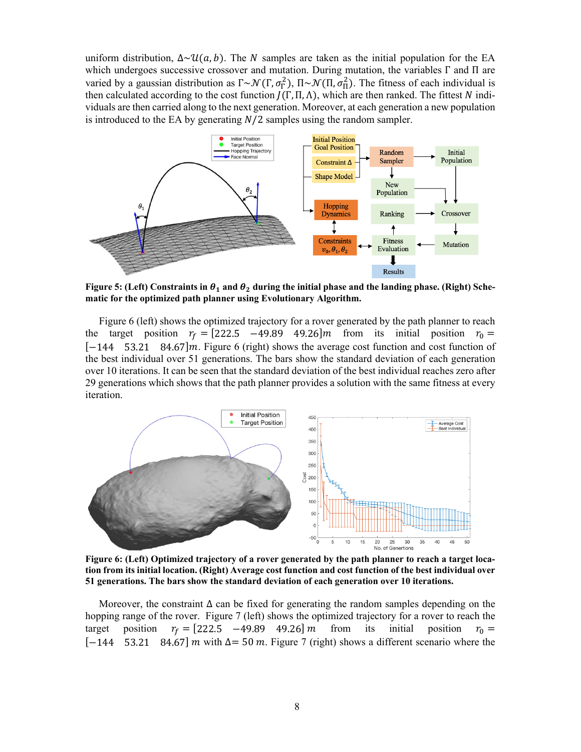uniform distribution,  $\Delta \sim \mathcal{U}(a, b)$ . The N samples are taken as the initial population for the EA which undergoes successive crossover and mutation. During mutation, the variables  $\Gamma$  and  $\Pi$  are varied by a gaussian distribution as  $\Gamma \sim \mathcal{N}(\Gamma, \sigma_{\Gamma}^2)$ ,  $\Pi \sim \mathcal{N}(\Pi, \sigma_{\Pi}^2)$ . The fitness of each individual is then calculated according to the cost function  $J(\Gamma, \Pi, \Lambda)$ , which are then ranked. The fittest N individuals are then carried along to the next generation. Moreover, at each generation a new population is introduced to the EA by generating  $N/2$  samples using the random sampler.



Figure 5: (Left) Constraints in  $\theta_1$  and  $\theta_2$  during the initial phase and the landing phase. (Right) Sche**matic for the optimized path planner using Evolutionary Algorithm.**

Figure 6 (left) shows the optimized trajectory for a rover generated by the path planner to reach the target position  $r_f = [222.5 \t -49.89 \t 49.26]m$  from its initial position  $r_0 = [-144 \t 53.21 \t 84.67]m$ . Figure 6 (right) shows the average cost function and cost function of [−144 53.21 84.67]. Figure 6 (right) shows the average cost function and cost function of the best individual over 51 generations. The bars show the standard deviation of each generation over 10 iterations. It can be seen that the standard deviation of the best individual reaches zero after 29 generations which shows that the path planner provides a solution with the same fitness at every iteration.



**Figure 6: (Left) Optimized trajectory of a rover generated by the path planner to reach a target location from its initial location. (Right) Average cost function and cost function of the best individual over 51 generations. The bars show the standard deviation of each generation over 10 iterations.**

Moreover, the constraint  $\Delta$  can be fixed for generating the random samples depending on the hopping range of the rover. Figure 7 (left) shows the optimized trajectory for a rover to reach the target position  $r_f = [222.5 -49.89 49.26] m$  from its initial position  $r_0 =$  $[-144 \quad 53.21 \quad 84.67]$  m with  $\Delta = 50$  m. Figure 7 (right) shows a different scenario where the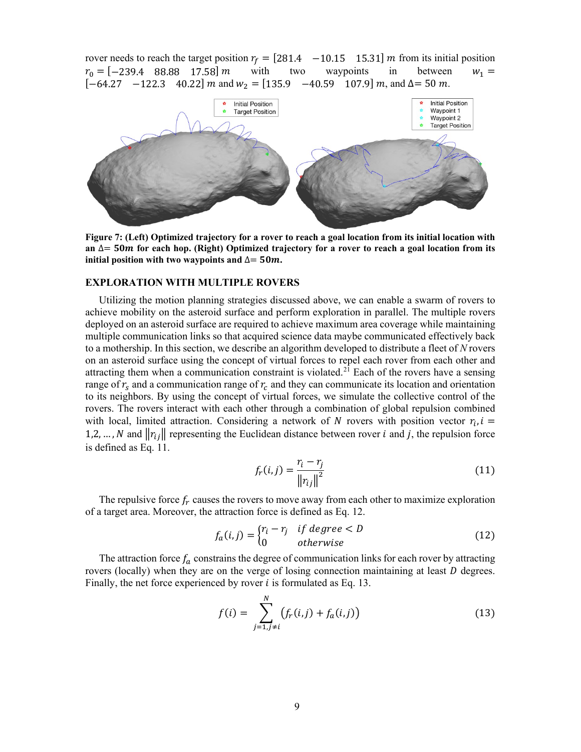rover needs to reach the target position  $r_f = [281.4 \t -10.15 \t 15.31] \text{ m}$  from its initial position  $r_0 = [-239.4 \t 88.88 \t 17.58] \text{ m}$  with two waypoints in between  $w_1 =$  $r_0 = [-239.4 \quad 88.88 \quad 17.58] \, m$  with two waypoints in between  $w_1 =$  $[-64.27 \quad -122.3 \quad 40.22] \ m \text{ and } w_2 = [135.9 \quad -40.59 \quad 107.9] \ m, \text{ and } \Delta = 50 \ m.$ 



**Figure 7: (Left) Optimized trajectory for a rover to reach a goal location from its initial location with an** ∆= **for each hop. (Right) Optimized trajectory for a rover to reach a goal location from its initial position with two waypoints and**  $∆= 50m$ **.** 

# **EXPLORATION WITH MULTIPLE ROVERS**

Utilizing the motion planning strategies discussed above, we can enable a swarm of rovers to achieve mobility on the asteroid surface and perform exploration in parallel. The multiple rovers deployed on an asteroid surface are required to achieve maximum area coverage while maintaining multiple communication links so that acquired science data maybe communicated effectively back to a mothership. In this section, we describe an algorithm developed to distribute a fleet of *N* rovers on an asteroid surface using the concept of virtual forces to repel each rover from each other and attracting them when a communication constraint is violated.<sup>[21](#page-3-18)</sup> Each of the rovers have a sensing range of  $r_s$  and a communication range of  $r_c$  and they can communicate its location and orientation to its neighbors. By using the concept of virtual forces, we simulate the collective control of the rovers. The rovers interact with each other through a combination of global repulsion combined with local, limited attraction. Considering a network of N rovers with position vector  $r_i$ ,  $i =$ 1,2, …, N and  $||r_{i}||$  representing the Euclidean distance between rover *i* and *j*, the repulsion force is defined as Eq. 11.

$$
f_r(i,j) = \frac{r_i - r_j}{\|r_{ij}\|^2}
$$
 (11)

The repulsive force  $f_r$  causes the rovers to move away from each other to maximize exploration of a target area. Moreover, the attraction force is defined as Eq. 12.

$$
f_a(i,j) = \begin{cases} r_i - r_j & \text{if degree} < D \\ 0 & \text{otherwise} \end{cases} \tag{12}
$$

The attraction force  $f_a$  constrains the degree of communication links for each rover by attracting rovers (locally) when they are on the verge of losing connection maintaining at least  $D$  degrees. Finally, the net force experienced by rover  $i$  is formulated as Eq. 13.

$$
f(i) = \sum_{j=1, j \neq i}^{N} (f_r(i, j) + f_a(i, j))
$$
\n(13)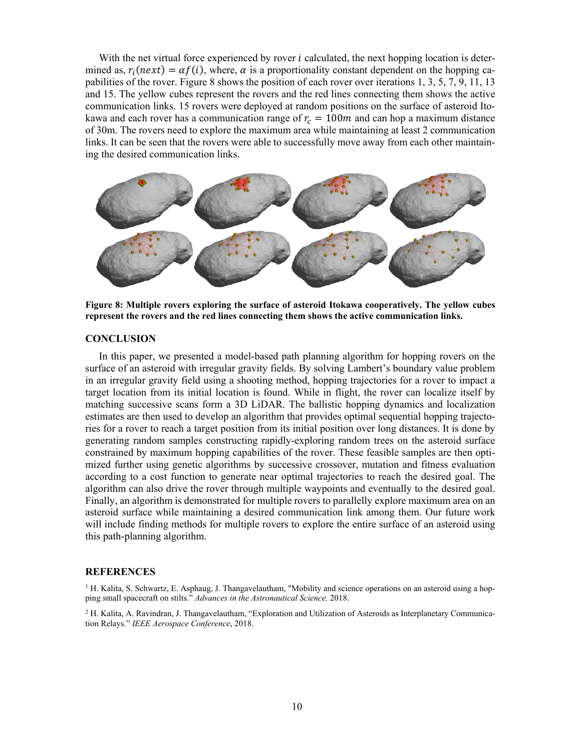With the net virtual force experienced by rover  $i$  calculated, the next hopping location is determined as,  $r_i(next) = \alpha f(i)$ , where,  $\alpha$  is a proportionality constant dependent on the hopping capabilities of the rover. Figure 8 shows the position of each rover over iterations 1, 3, 5, 7, 9, 11, 13 and 15. The yellow cubes represent the rovers and the red lines connecting them shows the active communication links. 15 rovers were deployed at random positions on the surface of asteroid Itokawa and each rover has a communication range of  $r_c = 100m$  and can hop a maximum distance of 30m. The rovers need to explore the maximum area while maintaining at least 2 communication links. It can be seen that the rovers were able to successfully move away from each other maintaining the desired communication links.



**Figure 8: Multiple rovers exploring the surface of asteroid Itokawa cooperatively. The yellow cubes represent the rovers and the red lines connecting them shows the active communication links.** 

#### **CONCLUSION**

In this paper, we presented a model-based path planning algorithm for hopping rovers on the surface of an asteroid with irregular gravity fields. By solving Lambert's boundary value problem in an irregular gravity field using a shooting method, hopping trajectories for a rover to impact a target location from its initial location is found. While in flight, the rover can localize itself by matching successive scans form a 3D LiDAR. The ballistic hopping dynamics and localization estimates are then used to develop an algorithm that provides optimal sequential hopping trajectories for a rover to reach a target position from its initial position over long distances. It is done by generating random samples constructing rapidly-exploring random trees on the asteroid surface constrained by maximum hopping capabilities of the rover. These feasible samples are then optimized further using genetic algorithms by successive crossover, mutation and fitness evaluation according to a cost function to generate near optimal trajectories to reach the desired goal. The algorithm can also drive the rover through multiple waypoints and eventually to the desired goal. Finally, an algorithm is demonstrated for multiple rovers to parallelly explore maximum area on an asteroid surface while maintaining a desired communication link among them. Our future work will include finding methods for multiple rovers to explore the entire surface of an asteroid using this path-planning algorithm.

#### **REFERENCES**

 $<sup>1</sup>$  H. Kalita, S. Schwartz, E. Asphaug, J. Thangavelautham, "Mobility and science operations on an asteroid using a hop-</sup> ping small spacecraft on stilts." *Advances in the Astronautical Science,* 2018.

<sup>2</sup> H. Kalita, A. Ravindran, J. Thangavelautham, "Exploration and Utilization of Asteroids as Interplanetary Communication Relays." *IEEE Aerospace Conference*, 2018.